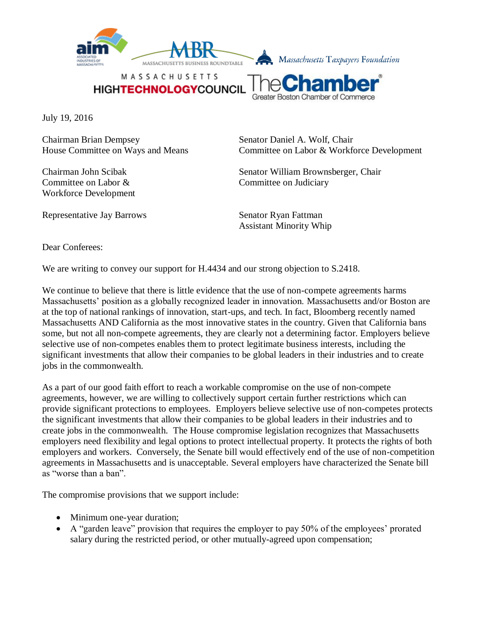

MASSACHUSETTS **HIGHTECHNOLOGYCOUNCIL** 



July 19, 2016

Chairman Brian Dempsey Senator Daniel A. Wolf, Chair

Committee on Labor & Committee on Judiciary Workforce Development

House Committee on Ways and Means Committee on Labor & Workforce Development

Chairman John Scibak Senator William Brownsberger, Chair

Representative Jay Barrows Senator Ryan Fattman Assistant Minority Whip

Dear Conferees:

We are writing to convey our support for H.4434 and our strong objection to S.2418.

We continue to believe that there is little evidence that the use of non-compete agreements harms Massachusetts' position as a globally recognized leader in innovation. Massachusetts and/or Boston are at the top of national rankings of innovation, start-ups, and tech. In fact, Bloomberg recently named Massachusetts AND California as the most innovative states in the country. Given that California bans some, but not all non-compete agreements, they are clearly not a determining factor. Employers believe selective use of non-competes enables them to protect legitimate business interests, including the significant investments that allow their companies to be global leaders in their industries and to create jobs in the commonwealth.

As a part of our good faith effort to reach a workable compromise on the use of non-compete agreements, however, we are willing to collectively support certain further restrictions which can provide significant protections to employees. Employers believe selective use of non-competes protects the significant investments that allow their companies to be global leaders in their industries and to create jobs in the commonwealth. The House compromise legislation recognizes that Massachusetts employers need flexibility and legal options to protect intellectual property. It protects the rights of both employers and workers. Conversely, the Senate bill would effectively end of the use of non-competition agreements in Massachusetts and is unacceptable. Several employers have characterized the Senate bill as "worse than a ban".

The compromise provisions that we support include:

- Minimum one-year duration;
- A "garden leave" provision that requires the employer to pay 50% of the employees' prorated salary during the restricted period, or other mutually-agreed upon compensation;